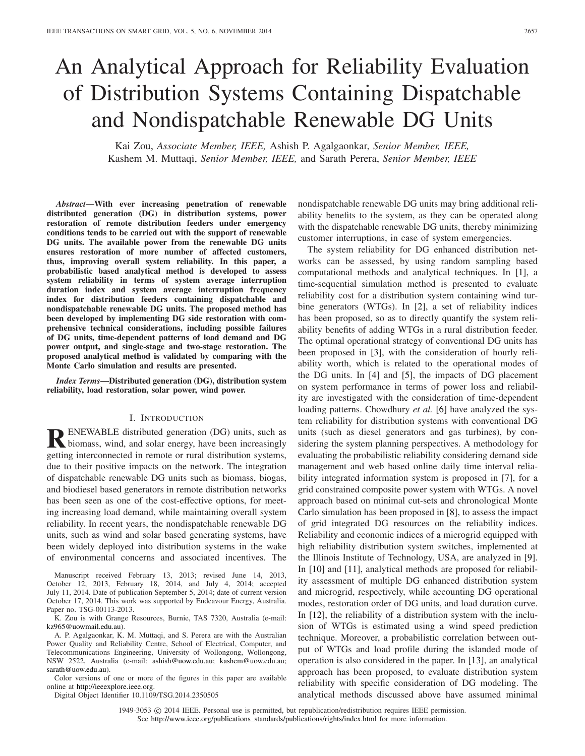# An Analytical Approach for Reliability Evaluation of Distribution Systems Containing Dispatchable and Nondispatchable Renewable DG Units

Kai Zou, *Associate Member, IEEE,* Ashish P. Agalgaonkar, *Senior Member, IEEE,* Kashem M. Muttaqi, *Senior Member, IEEE,* and Sarath Perera, *Senior Member, IEEE*

*Abstract***—With ever increasing penetration of renewable distributed generation (DG) in distribution systems, power restoration of remote distribution feeders under emergency conditions tends to be carried out with the support of renewable DG units. The available power from the renewable DG units ensures restoration of more number of affected customers, thus, improving overall system reliability. In this paper, a probabilistic based analytical method is developed to assess system reliability in terms of system average interruption duration index and system average interruption frequency index for distribution feeders containing dispatchable and nondispatchable renewable DG units. The proposed method has been developed by implementing DG side restoration with comprehensive technical considerations, including possible failures of DG units, time-dependent patterns of load demand and DG power output, and single-stage and two-stage restoration. The proposed analytical method is validated by comparing with the Monte Carlo simulation and results are presented.**

*Index Terms***—Distributed generation (DG), distribution system reliability, load restoration, solar power, wind power.**

#### I. INTRODUCTION

**RENEWABLE** distributed generation (DG) units, such as biomass, wind, and solar energy, have been increasingly getting interconnected in remote or rural distribution systems, due to their positive impacts on the network. The integration of dispatchable renewable DG units such as biomass, biogas, and biodiesel based generators in remote distribution networks has been seen as one of the cost-effective options, for meeting increasing load demand, while maintaining overall system reliability. In recent years, the nondispatchable renewable DG units, such as wind and solar based generating systems, have been widely deployed into distribution systems in the wake of environmental concerns and associated incentives. The

Manuscript received February 13, 2013; revised June 14, 2013, October 12, 2013, February 18, 2014, and July 4, 2014; accepted July 11, 2014. Date of publication September 5, 2014; date of current version October 17, 2014. This work was supported by Endeavour Energy, Australia. Paper no. TSG-00113-2013.

K. Zou is with Grange Resources, Burnie, TAS 7320, Australia (e-mail: kz965@uowmail.edu.au).

A. P. Agalgaonkar, K. M. Muttaqi, and S. Perera are with the Australian Power Quality and Reliability Centre, School of Electrical, Computer, and Telecommunications Engineering, University of Wollongong, Wollongong, NSW 2522, Australia (e-mail: ashish@uow.edu.au; kashem@uow.edu.au; sarath@uow.edu.au).

Color versions of one or more of the figures in this paper are available online at http://ieeexplore.ieee.org.

Digital Object Identifier 10.1109/TSG.2014.2350505

nondispatchable renewable DG units may bring additional reliability benefits to the system, as they can be operated along with the dispatchable renewable DG units, thereby minimizing customer interruptions, in case of system emergencies.

The system reliability for DG enhanced distribution networks can be assessed, by using random sampling based computational methods and analytical techniques. In [1], a time-sequential simulation method is presented to evaluate reliability cost for a distribution system containing wind turbine generators (WTGs). In [2], a set of reliability indices has been proposed, so as to directly quantify the system reliability benefits of adding WTGs in a rural distribution feeder. The optimal operational strategy of conventional DG units has been proposed in [3], with the consideration of hourly reliability worth, which is related to the operational modes of the DG units. In [4] and [5], the impacts of DG placement on system performance in terms of power loss and reliability are investigated with the consideration of time-dependent loading patterns. Chowdhury *et al.* [6] have analyzed the system reliability for distribution systems with conventional DG units (such as diesel generators and gas turbines), by considering the system planning perspectives. A methodology for evaluating the probabilistic reliability considering demand side management and web based online daily time interval reliability integrated information system is proposed in [7], for a grid constrained composite power system with WTGs. A novel approach based on minimal cut-sets and chronological Monte Carlo simulation has been proposed in [8], to assess the impact of grid integrated DG resources on the reliability indices. Reliability and economic indices of a microgrid equipped with high reliability distribution system switches, implemented at the Illinois Institute of Technology, USA, are analyzed in [9]. In [10] and [11], analytical methods are proposed for reliability assessment of multiple DG enhanced distribution system and microgrid, respectively, while accounting DG operational modes, restoration order of DG units, and load duration curve. In [12], the reliability of a distribution system with the inclusion of WTGs is estimated using a wind speed prediction technique. Moreover, a probabilistic correlation between output of WTGs and load profile during the islanded mode of operation is also considered in the paper. In [13], an analytical approach has been proposed, to evaluate distribution system reliability with specific consideration of DG modeling. The analytical methods discussed above have assumed minimal

1949-3053  $\odot$  2014 IEEE. Personal use is permitted, but republication/redistribution requires IEEE permission. See http://www.ieee.org/publications\_standards/publications/rights/index.html for more information.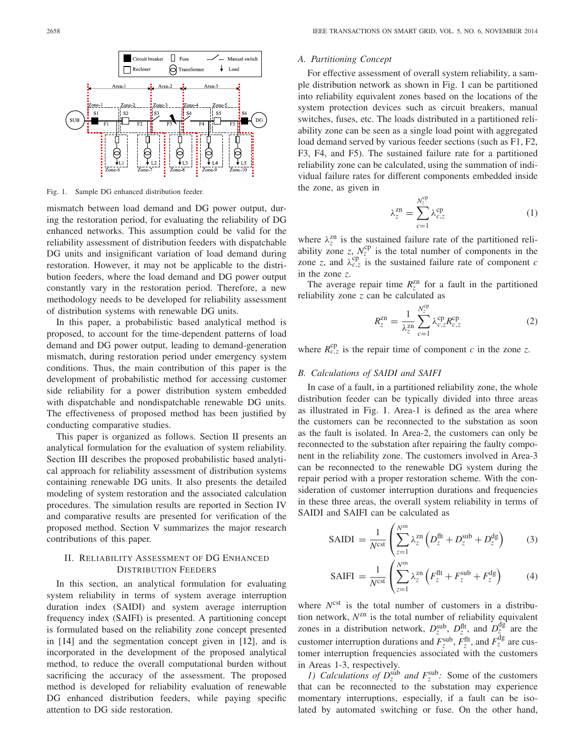

Fig. 1. Sample DG enhanced distribution feeder.

mismatch between load demand and DG power output, during the restoration period, for evaluating the reliability of DG enhanced networks. This assumption could be valid for the reliability assessment of distribution feeders with dispatchable DG units and insignificant variation of load demand during restoration. However, it may not be applicable to the distribution feeders, where the load demand and DG power output constantly vary in the restoration period. Therefore, a new methodology needs to be developed for reliability assessment of distribution systems with renewable DG units.

In this paper, a probabilistic based analytical method is proposed, to account for the time-dependent patterns of load demand and DG power output, leading to demand-generation mismatch, during restoration period under emergency system conditions. Thus, the main contribution of this paper is the development of probabilistic method for accessing customer side reliability for a power distribution system embedded with dispatchable and nondispatchable renewable DG units. The effectiveness of proposed method has been justified by conducting comparative studies.

This paper is organized as follows. Section II presents an analytical formulation for the evaluation of system reliability. Section III describes the proposed probabilistic based analytical approach for reliability assessment of distribution systems containing renewable DG units. It also presents the detailed modeling of system restoration and the associated calculation procedures. The simulation results are reported in Section IV and comparative results are presented for verification of the proposed method. Section V summarizes the major research contributions of this paper.

### II. RELIABILITY ASSESSMENT OF DG ENHANCED DISTRIBUTION FEEDERS

In this section, an analytical formulation for evaluating system reliability in terms of system average interruption duration index (SAIDI) and system average interruption frequency index (SAIFI) is presented. A partitioning concept is formulated based on the reliability zone concept presented in [14] and the segmentation concept given in [12], and is incorporated in the development of the proposed analytical method, to reduce the overall computational burden without sacrificing the accuracy of the assessment. The proposed method is developed for reliability evaluation of renewable DG enhanced distribution feeders, while paying specific attention to DG side restoration.

#### *A. Partitioning Concept*

For effective assessment of overall system reliability, a sample distribution network as shown in Fig. 1 can be partitioned into reliability equivalent zones based on the locations of the system protection devices such as circuit breakers, manual switches, fuses, etc. The loads distributed in a partitioned reliability zone can be seen as a single load point with aggregated load demand served by various feeder sections (such as F1, F2, F3, F4, and F5). The sustained failure rate for a partitioned reliability zone can be calculated, using the summation of individual failure rates for different components embedded inside the zone, as given in

$$
\lambda_z^{\text{zn}} = \sum_{c=1}^{N_z^{\text{cp}}} \lambda_{c,z}^{\text{cp}} \tag{1}
$$

where  $\lambda_z^{zn}$  is the sustained failure rate of the partitioned reliability zone *z*,  $N_z^{\text{cp}}$  is the total number of components in the zone *z*, and  $\lambda_{c,z}^{cp}$  is the sustained failure rate of component *c* in the zone *z*.

The average repair time  $R_z^{\text{zn}}$  for a fault in the partitioned reliability zone *z* can be calculated as

$$
R_z^{\rm zn} = \frac{1}{\lambda_z^{\rm zn}} \sum_{c=1}^{N_z^{\rm cp}} \lambda_{c,z}^{\rm cp} R_{c,z}^{\rm cp}
$$
 (2)

where  $R_{c,z}^{\text{cp}}$  is the repair time of component *c* in the zone *z*.

#### *B. Calculations of SAIDI and SAIFI*

In case of a fault, in a partitioned reliability zone, the whole distribution feeder can be typically divided into three areas as illustrated in Fig. 1. Area-1 is defined as the area where the customers can be reconnected to the substation as soon as the fault is isolated. In Area-2, the customers can only be reconnected to the substation after repairing the faulty component in the reliability zone. The customers involved in Area-3 can be reconnected to the renewable DG system during the repair period with a proper restoration scheme. With the consideration of customer interruption durations and frequencies in these three areas, the overall system reliability in terms of SAIDI and SAIFI can be calculated as

$$
\text{SAIDI} = \frac{1}{N^{\text{cst}}} \left( \sum_{z=1}^{N^{\text{zn}}} \lambda_z^{\text{zn}} \left( D_z^{\text{fit}} + D_z^{\text{sub}} + D_z^{\text{dg}} \right) \right) \tag{3}
$$

$$
SAIFI = \frac{1}{N^{\text{cst}}} \left( \sum_{z=1}^{N^{\text{zn}}} \lambda_z^{\text{zn}} \left( F_z^{\text{fft}} + F_z^{\text{sub}} + F_z^{\text{dg}} \right) \right) \tag{4}
$$

where  $N^{\text{cst}}$  is the total number of customers in a distribution network, *N*zn is the total number of reliability equivalent zones in a distribution network,  $D_z^{\text{sub}}$ ,  $D_z^{\text{fit}}$ , and  $D_z^{\text{dg}}$  are the customer interruption durations and  $F_z^{\text{sub}}$ ,  $F_z^{\text{fit}}$ , and  $F_z^{\text{dg}}$  are customer interruption frequencies associated with the customers in Areas 1-3, respectively.

*1)* Calculations of  $D_z^{\text{sub}}$  and  $F_z^{\text{sub}}$ : Some of the customers that can be reconnected to the substation may experience momentary interruptions, especially, if a fault can be isolated by automated switching or fuse. On the other hand,